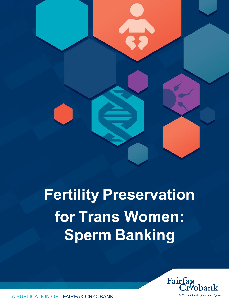# **Fertility Preservation for Trans Women: Sperm Banking**



A PUBLICATION OF FAIRFAX CRYOBANK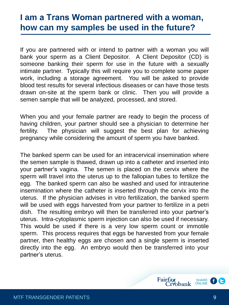#### **I am a trans woman partnered with a woman, how can my samples be used in the future?**

If you are partnered with or intend to partner with a woman you will bank your sperm as a Client Depositor. A Client Depositor (CD) is someone banking their sperm for use in the future with a sexually intimate partner. Typically this will require you to complete some paper work, including a storage agreement. You will be asked to provide blood test results for several infectious diseases or can have those tests drawn on-site at the sperm bank or clinic. Then you will provide a semen sample that will be analyzed, processed, and stored.

When you and your female partner are ready to begin the process of having children, your partner should see a physician to determine her fertility. The physician will suggest the best plan for achieving pregnancy while considering the amount of sperm you have banked.

The banked sperm can be used for an intracervical insemination where the semen sample is thawed, drawn up into a catheter and inserted into your partner's vagina. The semen is placed on the cervix where the sperm will travel into the uterus up to the fallopian tubes to fertilize the egg. The banked sperm can also be washed and used for intrauterine insemination where the catheter is inserted through the cervix into the uterus. If the physician advises in vitro fertilization, the banked sperm will be used with eggs harvested from your partner to fertilize in a petri dish. The resulting embryo will then be transferred into your partner's uterus. Intra-cytoplasmic sperm injection can also be used if necessary. This would be used if there is a very low sperm count or immotile sperm. This process requires that eggs be harvested from your female partner, then healthy eggs are chosen and a single sperm is inserted directly into the egg. An embryo would then be transferred into your partner's uterus.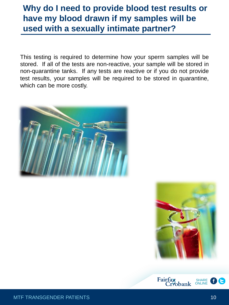## **Why do I need to provide blood test results or have my blood drawn if my samples will be used with a sexually intimate partner?**

This testing is required to determine how your sperm samples will be stored. If all of the tests are non-reactive, your sample will be stored in non-quarantine tanks. If any tests are reactive or if you do not provide test results, your samples will be required to be stored in quarantine, which can be more costly.





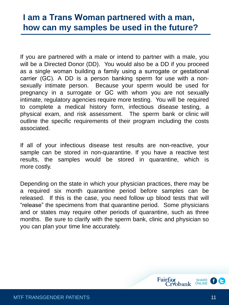### **I am a trans woman partnered with a man, how can my samples be used in the future?**

If you are partnered with a male or intend to partner with a male, you will be a Directed Donor (DD). You would also be a DD if you proceed as a single woman building a family using a surrogate or gestational carrier (GC). A DD is a person banking sperm for use with a nonsexually intimate person. Because your sperm would be used for pregnancy in a surrogate or GC with whom you are not sexually intimate, regulatory agencies require more testing. You will be required to complete a medical history form, infectious disease testing, a physical exam, and risk assessment. The sperm bank or clinic will outline the specific requirements of their program including the costs associated.

If all of your infectious disease test results are non-reactive, your sample can be stored in non-quarantine. If you have a reactive test results, the samples would be stored in quarantine, which is more costly.

Depending on the state in which your physician practices, there may be a required six month quarantine period before samples can be released. If this is the case, you need follow up blood tests that will "release" the specimens from that quarantine period. Some physicians and or states may require other periods of quarantine, such as three months. Be sure to clarify with the sperm bank, clinic and physician so you can plan your time line accurately.

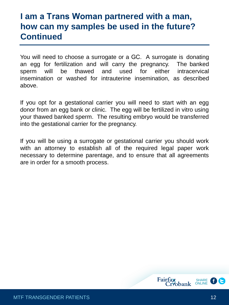### **I am a trans woman partnered with a man, how can my samples be used in the future? Continued**

You will need to choose a surrogate or a GC. A surrogate is donating an egg for fertilization and will carry the pregnancy. The banked sperm will be thawed and used for either intracervical insemination or washed for intrauterine insemination, as described above.

If you opt for a gestational carrier you will need to start with an egg donor from an egg bank or clinic. The egg will be fertilized in vitro using your thawed banked sperm. The resulting embryo would be transferred into the gestational carrier for the pregnancy.

If you will be using a surrogate or gestational carrier you should work with an attorney to establish all of the required legal paper work necessary to determine parentage, and to ensure that all agreements are in order for a smooth process.